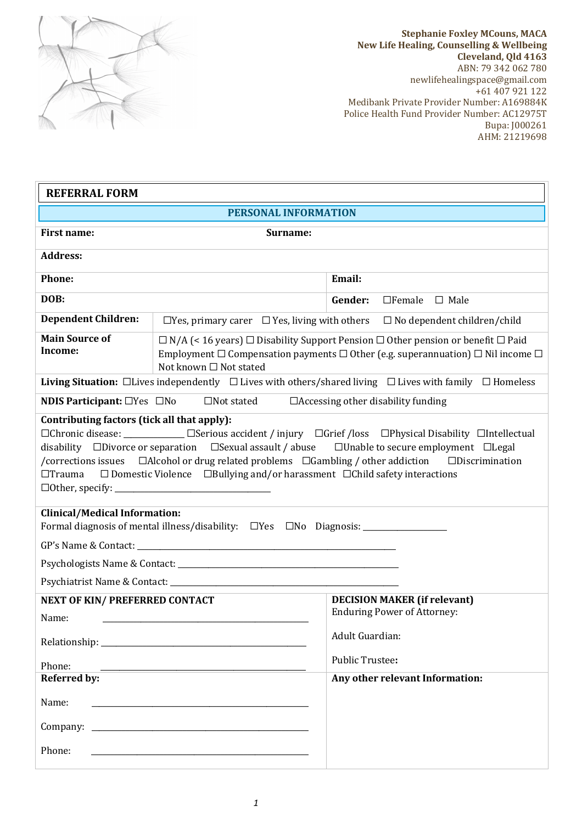

**Stephanie Foxley MCouns, MACA New Life Healing, Counselling & Wellbeing Cleveland, Qld 4163** ABN: 79 342 062 780 newlifehealingspace@gmail.com +61 407 921 122 Medibank Private Provider Number: A169884K Police Health Fund Provider Number: AC12975T Bupa: J000261 AHM: 21219698

| <b>REFERRAL FORM</b>                                                                                                                                                                                                                                                                                                                                                                                                                                                                                                                                                                                                                        |                                                                                                                                                                                                                                        |                                                                                             |
|---------------------------------------------------------------------------------------------------------------------------------------------------------------------------------------------------------------------------------------------------------------------------------------------------------------------------------------------------------------------------------------------------------------------------------------------------------------------------------------------------------------------------------------------------------------------------------------------------------------------------------------------|----------------------------------------------------------------------------------------------------------------------------------------------------------------------------------------------------------------------------------------|---------------------------------------------------------------------------------------------|
| <b>PERSONAL INFORMATION</b>                                                                                                                                                                                                                                                                                                                                                                                                                                                                                                                                                                                                                 |                                                                                                                                                                                                                                        |                                                                                             |
| <b>First name:</b><br>Surname:                                                                                                                                                                                                                                                                                                                                                                                                                                                                                                                                                                                                              |                                                                                                                                                                                                                                        |                                                                                             |
| <b>Address:</b>                                                                                                                                                                                                                                                                                                                                                                                                                                                                                                                                                                                                                             |                                                                                                                                                                                                                                        |                                                                                             |
| Phone:                                                                                                                                                                                                                                                                                                                                                                                                                                                                                                                                                                                                                                      |                                                                                                                                                                                                                                        | Email:                                                                                      |
| DOB:                                                                                                                                                                                                                                                                                                                                                                                                                                                                                                                                                                                                                                        |                                                                                                                                                                                                                                        | $\Box$ Female $\Box$ Male<br>Gender:                                                        |
| <b>Dependent Children:</b>                                                                                                                                                                                                                                                                                                                                                                                                                                                                                                                                                                                                                  |                                                                                                                                                                                                                                        | $\Box$ Yes, primary carer $\Box$ Yes, living with others $\Box$ No dependent children/child |
| <b>Main Source of</b><br>Income:                                                                                                                                                                                                                                                                                                                                                                                                                                                                                                                                                                                                            | $\Box$ N/A (< 16 years) $\Box$ Disability Support Pension $\Box$ Other pension or benefit $\Box$ Paid<br>Employment $\Box$ Compensation payments $\Box$ Other (e.g. superannuation) $\Box$ Nil income $\Box$<br>Not known □ Not stated |                                                                                             |
| Living Situation: $\Box$ Lives independently $\Box$ Lives with others/shared living $\Box$ Lives with family $\Box$ Homeless                                                                                                                                                                                                                                                                                                                                                                                                                                                                                                                |                                                                                                                                                                                                                                        |                                                                                             |
| <b>NDIS Participant:</b> $\Box$ Yes $\Box$ No $\Box$ Not stated<br>$\Box$ Accessing other disability funding                                                                                                                                                                                                                                                                                                                                                                                                                                                                                                                                |                                                                                                                                                                                                                                        |                                                                                             |
| Contributing factors (tick all that apply):<br>□Chronic disease: ___________ □Serious accident / injury □Grief /loss □Physical Disability □Intellectual<br>disability $\Box$ Divorce or separation $\Box$ Sexual assault / abuse $\Box$ Unable to secure employment $\Box$ Legal<br>/corrections issues  □Alcohol or drug related problems □Gambling / other addiction<br>$\Box$ Discrimination<br>$\Box$ Domestic Violence $\Box$ Bullying and/or harassment $\Box$ Child safety interactions<br>$\Box$ Trauma<br><b>Clinical/Medical Information:</b><br>Formal diagnosis of mental illness/disability: □Yes □No Diagnosis: _____________ |                                                                                                                                                                                                                                        |                                                                                             |
|                                                                                                                                                                                                                                                                                                                                                                                                                                                                                                                                                                                                                                             |                                                                                                                                                                                                                                        |                                                                                             |
|                                                                                                                                                                                                                                                                                                                                                                                                                                                                                                                                                                                                                                             |                                                                                                                                                                                                                                        |                                                                                             |
| <b>NEXT OF KIN/ PREFERRED CONTACT</b><br>Name:                                                                                                                                                                                                                                                                                                                                                                                                                                                                                                                                                                                              |                                                                                                                                                                                                                                        | <b>DECISION MAKER (if relevant)</b><br><b>Enduring Power of Attorney:</b>                   |
|                                                                                                                                                                                                                                                                                                                                                                                                                                                                                                                                                                                                                                             |                                                                                                                                                                                                                                        | Adult Guardian:                                                                             |
| Phone:                                                                                                                                                                                                                                                                                                                                                                                                                                                                                                                                                                                                                                      |                                                                                                                                                                                                                                        | <b>Public Trustee:</b>                                                                      |
| <b>Referred by:</b>                                                                                                                                                                                                                                                                                                                                                                                                                                                                                                                                                                                                                         |                                                                                                                                                                                                                                        | Any other relevant Information:                                                             |
| Name:                                                                                                                                                                                                                                                                                                                                                                                                                                                                                                                                                                                                                                       |                                                                                                                                                                                                                                        |                                                                                             |
|                                                                                                                                                                                                                                                                                                                                                                                                                                                                                                                                                                                                                                             |                                                                                                                                                                                                                                        |                                                                                             |
| Phone:<br><u> 1980 - Johann Barn, mars ann an t-Amhain an t-Amhain an t-Amhain an t-Amhain an t-Amhain an t-Amhain an t-Amh</u>                                                                                                                                                                                                                                                                                                                                                                                                                                                                                                             |                                                                                                                                                                                                                                        |                                                                                             |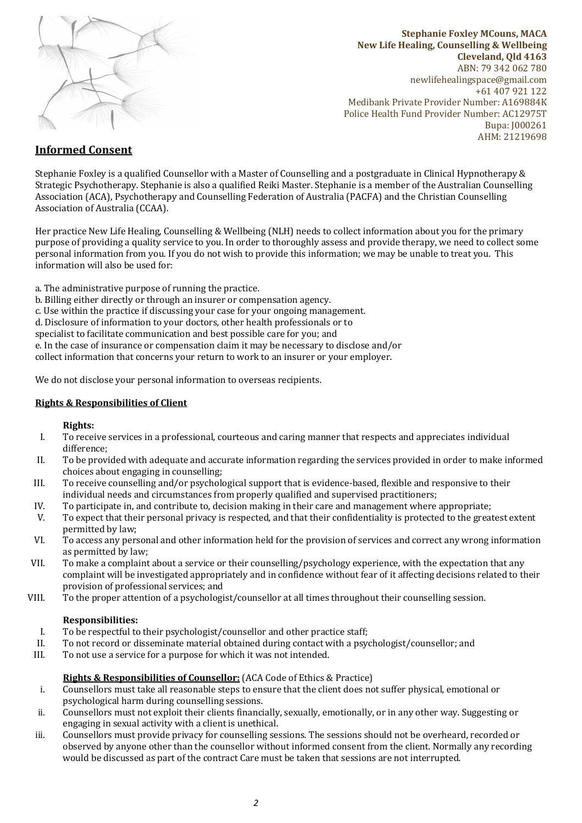

**Stephanie Foxley MCouns, MACA New Life Healing, Counselling & Wellbeing Cleveland, Qld 4163** ABN: 79 342 062 780 newlifehealingspace@gmail.com  $+61\,407\,921\,122$ Medibank Private Provider Number: A169884K Police Health Fund Provider Number: AC12975T Bupa: J000261 AHM: 21219698

# **Informed Consent**

Stephanie Foxley is a qualified Counsellor with a Master of Counselling and a postgraduate in Clinical Hypnotherapy & Strategic Psychotherapy. Stephanie is also a qualified Reiki Master. Stephanie is a member of the Australian Counselling Association (ACA), Psychotherapy and Counselling Federation of Australia (PACFA) and the Christian Counselling Association of Australia (CCAA).

Her practice New Life Healing, Counselling & Wellbeing (NLH) needs to collect information about you for the primary purpose of providing a quality service to you. In order to thoroughly assess and provide therapy, we need to collect some personal information from you. If you do not wish to provide this information; we may be unable to treat you. This information will also be used for:

a. The administrative purpose of running the practice.

- b. Billing either directly or through an insurer or compensation agency.
- c. Use within the practice if discussing your case for your ongoing management.
- d. Disclosure of information to your doctors, other health professionals or to

specialist to facilitate communication and best possible care for you; and

e. In the case of insurance or compensation claim it may be necessary to disclose and/or

collect information that concerns your return to work to an insurer or your employer.

We do not disclose your personal information to overseas recipients.

## **Rights & Responsibilities of Client**

## **Rights:**

- I. To receive services in a professional, courteous and caring manner that respects and appreciates individual difference;
- II. To be provided with adequate and accurate information regarding the services provided in order to make informed choices about engaging in counselling;
- III. To receive counselling and/or psychological support that is evidence-based, flexible and responsive to their individual needs and circumstances from properly qualified and supervised practitioners;
- IV. To participate in, and contribute to, decision making in their care and management where appropriate;
- V. To expect that their personal privacy is respected, and that their confidentiality is protected to the greatest extent permitted by law;
- VI. To access any personal and other information held for the provision of services and correct any wrong information as permitted by law:
- VII. To make a complaint about a service or their counselling/psychology experience, with the expectation that any complaint will be investigated appropriately and in confidence without fear of it affecting decisions related to their provision of professional services; and
- VIII. To the proper attention of a psychologist/counsellor at all times throughout their counselling session.

## **Responsibilities:**

- I. To be respectful to their psychologist/counsellor and other practice staff;
- II. To not record or disseminate material obtained during contact with a psychologist/counsellor; and
- III. To not use a service for a purpose for which it was not intended.

## **Rights & Responsibilities of Counsellor:** (ACA Code of Ethics & Practice)

- i. Counsellors must take all reasonable steps to ensure that the client does not suffer physical, emotional or psychological harm during counselling sessions.
- ii. Counsellors must not exploit their clients financially, sexually, emotionally, or in any other way. Suggesting or engaging in sexual activity with a client is unethical.
- iii. Counsellors must provide privacy for counselling sessions. The sessions should not be overheard, recorded or observed by anyone other than the counsellor without informed consent from the client. Normally any recording would be discussed as part of the contract Care must be taken that sessions are not interrupted.